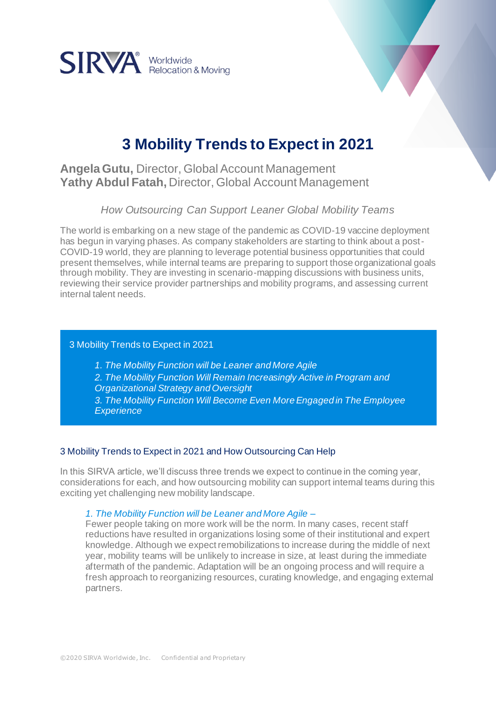

# **3 Mobility Trends to Expect in 2021**

# **Angela Gutu,** Director, Global Account Management **Yathy Abdul Fatah,** Director, Global Account Management

*How Outsourcing Can Support Leaner Global Mobility Teams*

The world is embarking on a new stage of the pandemic as COVID-19 vaccine deployment has begun in varying phases. As company stakeholders are starting to think about a post-COVID-19 world, they are planning to leverage potential business opportunities that could present themselves, while internal teams are preparing to support those organizational goals through mobility. They are investing in scenario-mapping discussions with business units, reviewing their service provider partnerships and mobility programs, and assessing current internal talent needs.

### 3 Mobility Trends to Expect in 2021

*1. The Mobility Function will be Leaner and More Agile*

- *2. The Mobility Function Will Remain Increasingly Active in Program and Organizational Strategy and Oversight*
- *3. The Mobility Function Will Become Even More Engaged in The Employee Experience*

# 3 Mobility Trends to Expect in 2021 and How Outsourcing Can Help

In this SIRVA article, we'll discuss three trends we expect to continue in the coming year, considerations for each, and how outsourcing mobility can support internal teams during this exciting yet challenging new mobility landscape.

*1. The Mobility Function will be Leaner and More Agile –*

Fewer people taking on more work will be the norm. In many cases, recent staff reductions have resulted in organizations losing some of their institutional and expert knowledge. Although we expect remobilizations to increase during the middle of next year, mobility teams will be unlikely to increase in size, at least during the immediate aftermath of the pandemic. Adaptation will be an ongoing process and will require a fresh approach to reorganizing resources, curating knowledge, and engaging external partners.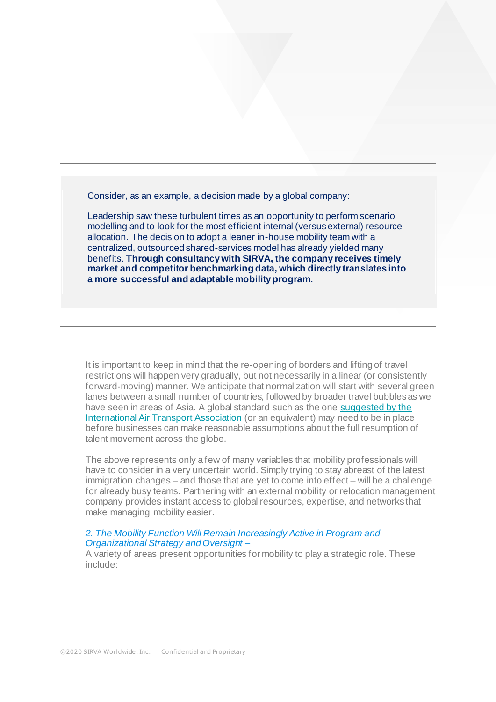Consider, as an example, a decision made by a global company:

Leadership saw these turbulent times as an opportunity to perform scenario modelling and to look for the most efficient internal (versus external) resource allocation. The decision to adopt a leaner in-house mobility team with a centralized, outsourced shared-services model has already yielded many benefits. **Through consultancy with SIRVA, the company receives timely market and competitor benchmarking data, which directly translates into a more successful and adaptable mobility program.**

It is important to keep in mind that the re-opening of borders and lifting of travel restrictions will happen very gradually, but not necessarily in a linear (or consistently forward-moving) manner. We anticipate that normalization will start with several green lanes between a small number of countries, followed by broader travel bubbles as we have seen in areas of Asia. A global standard such as the one suggested by the [International Air Transport Association](https://www.washingtonpost.com/travel/2020/12/08/vaccine-passport-immunity-app-covid/) (or an equivalent) may need to be in place before businesses can make reasonable assumptions about the full resumption of talent movement across the globe.

The above represents only a few of many variables that mobility professionals will have to consider in a very uncertain world. Simply trying to stay abreast of the latest immigration changes – and those that are yet to come into effect – will be a challenge for already busy teams. Partnering with an external mobility or relocation management company provides instant access to global resources, expertise, and networks that make managing mobility easier.

#### *2. The Mobility Function Will Remain Increasingly Active in Program and Organizational Strategy and Oversight –*

A variety of areas present opportunities for mobility to play a strategic role. These include: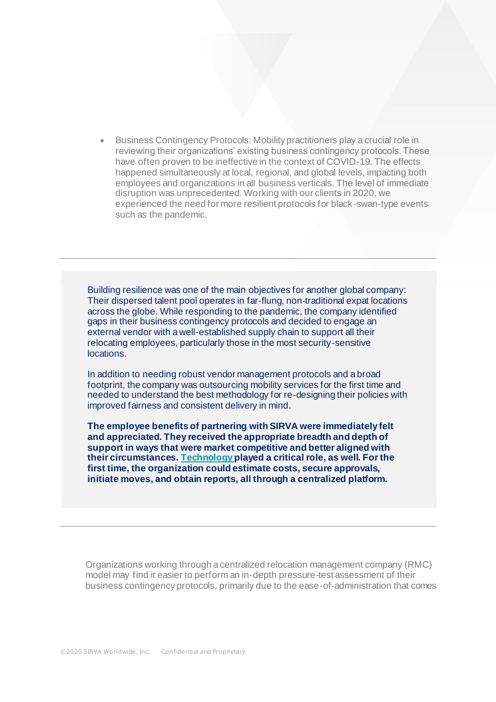• Business Contingency Protocols: Mobility practitioners play a crucial role in reviewing their organizations' existing business contingency protocols. These have often proven to be ineffective in the context of COVID-19. The effects happened simultaneously at local, regional, and global levels, impacting both employees and organizations in all business verticals. The level of immediate disruption was unprecedented. Working with our clients in 2020, we experienced the need for more resilient protocols for black-swan-type events such as the pandemic.

Building resilience was one of the main objectives for another global company: Their dispersed talent pool operates in far-flung, non-traditional expat locations across the globe. While responding to the pandemic, the company identified gaps in their business contingency protocols and decided to engage an external vendor with a well-established supply chain to support all their relocating employees, particularly those in the most security-sensitive locations.

In addition to needing robust vendor management protocols and a broad footprint, the company was outsourcing mobility services for the first time and needed to understand the best methodology for re-designing their policies with improved fairness and consistent delivery in mind.

**The employee benefits of partnering with SIRVA were immediately felt and appreciated. They received the appropriate breadth and depth of support in ways that were market competitive and better aligned with their circumstances. [Technology](https://www.sirva.com/technology-solutions) played a critical role, as well. For the first time, the organization could estimate costs, secure approvals, initiate moves, and obtain reports, all through a centralized platform.**

Organizations working through a centralized relocation management company (RMC) model may find it easier to perform an in-depth pressure-test assessment of their business contingency protocols, primarily due to the ease-of-administration that comes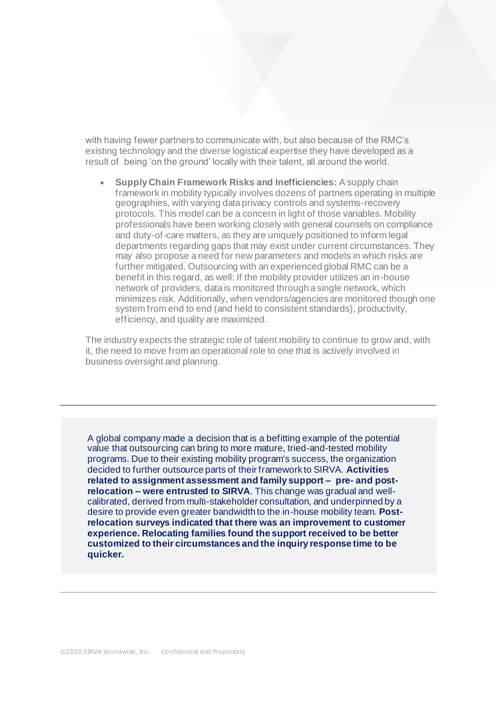with having fewer partners to communicate with, but also because of the RMC's existing technology and the diverse logistical expertise they have developed as a result of being 'on the ground' locally with their talent, all around the world.

• **Supply Chain Framework Risks and Inefficiencies:** A supply chain framework in mobility typically involves dozens of partners operating in multiple geographies, with varying data privacy controls and systems-recovery protocols. This model can be a concern in light of those variables. Mobility professionals have been working closely with general counsels on compliance and duty-of-care matters, as they are uniquely positioned to inform legal departments regarding gaps that may exist under current circumstances. They may also propose a need for new parameters and models in which risks are further mitigated. Outsourcing with an experienced global RMC can be a benefit in this regard, as well: If the mobility provider utilizes an in-house network of providers, data is monitored through a single network, which minimizes risk. Additionally, when vendors/agencies are monitored though one system from end to end (and held to consistent standards), productivity, efficiency, and quality are maximized.

The industry expects the strategic role of talent mobility to continue to grow and, with it, the need to move from an operational role to one that is actively involved in business oversight and planning.

A global company made a decision that is a befitting example of the potential value that outsourcing can bring to more mature, tried-and-tested mobility programs. Due to their existing mobility program's success, the organization decided to further outsource parts of their framework to SIRVA. **Activities related to assignment assessment and family support – pre- and postrelocation – were entrusted to SIRVA**. This change was gradual and wellcalibrated, derived from multi-stakeholder consultation, and underpinned by a desire to provide even greater bandwidth to the in-house mobility team. **Postrelocation surveys indicated that there was an improvement to customer experience. Relocating families found the support received to be better customized to their circumstances and the inquiry response time to be quicker.**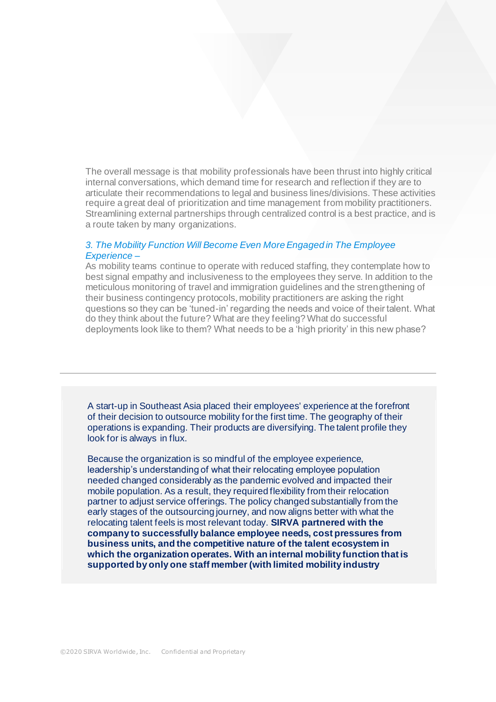The overall message is that mobility professionals have been thrust into highly critical internal conversations, which demand time for research and reflection if they are to articulate their recommendations to legal and business lines/divisions. These activities require a great deal of prioritization and time management from mobility practitioners. Streamlining external partnerships through centralized control is a best practice, and is a route taken by many organizations.

## *3. The Mobility Function Will Become Even More Engaged in The Employee Experience –*

As mobility teams continue to operate with reduced staffing, they contemplate how to best signal empathy and inclusiveness to the employees they serve. In addition to the meticulous monitoring of travel and immigration guidelines and the strengthening of their business contingency protocols, mobility practitioners are asking the right questions so they can be 'tuned-in' regarding the needs and voice of their talent. What do they think about the future? What are they feeling? What do successful deployments look like to them? What needs to be a 'high priority' in this new phase?

A start-up in Southeast Asia placed their employees' experience at the forefront of their decision to outsource mobility for the first time. The geography of their operations is expanding. Their products are diversifying. The talent profile they look for is always in flux.

Because the organization is so mindful of the employee experience, leadership's understanding of what their relocating employee population needed changed considerably as the pandemic evolved and impacted their mobile population. As a result, they required flexibility from their relocation partner to adjust service offerings. The policy changed substantially from the early stages of the outsourcing journey, and now aligns better with what the relocating talent feels is most relevant today. **SIRVA partnered with the company to successfully balance employee needs, cost pressures from business units, and the competitive nature of the talent ecosystem in which the organization operates. With an internal mobility function that is supported by only one staff member (with limited mobility industry**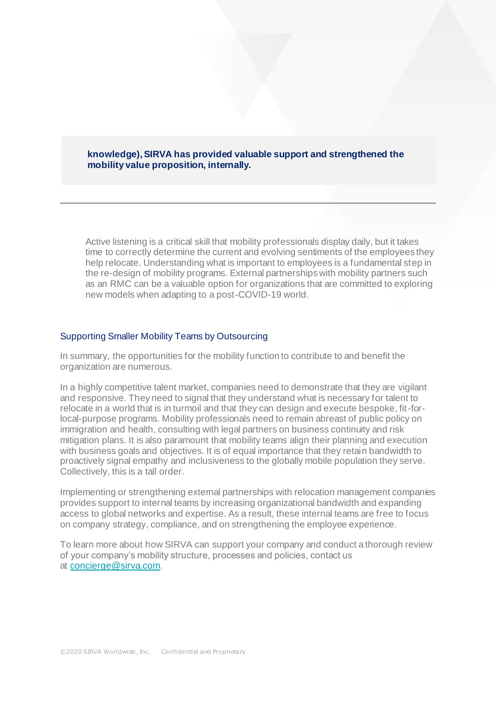## **knowledge), SIRVA has provided valuable support and strengthened the mobility value proposition, internally.**

Active listening is a critical skill that mobility professionals display daily, but it takes time to correctly determine the current and evolving sentiments of the employees they help relocate. Understanding what is important to employees is a fundamental step in the re-design of mobility programs. External partnerships with mobility partners such as an RMC can be a valuable option for organizations that are committed to exploring new models when adapting to a post-COVID-19 world.

#### Supporting Smaller Mobility Teams by Outsourcing

In summary, the opportunities for the mobility function to contribute to and benefit the organization are numerous.

In a highly competitive talent market, companies need to demonstrate that they are vigilant and responsive. They need to signal that they understand what is necessary for talent to relocate in a world that is in turmoil and that they can design and execute bespoke, fit-forlocal-purpose programs. Mobility professionals need to remain abreast of public policy on immigration and health, consulting with legal partners on business continuity and risk mitigation plans. It is also paramount that mobility teams align their planning and execution with business goals and objectives. It is of equal importance that they retain bandwidth to proactively signal empathy and inclusiveness to the globally mobile population they serve. Collectively, this is a tall order.

Implementing or strengthening external partnerships with relocation management companies provides support to internal teams by increasing organizational bandwidth and expanding access to global networks and expertise. As a result, these internal teams are free to focus on company strategy, compliance, and on strengthening the employee experience.

To learn more about how SIRVA can support your company and conduct a thorough review of your company's mobility structure, processes and policies, contact us at [concierge@sirva.com](mailto:concierge@sirva.com).